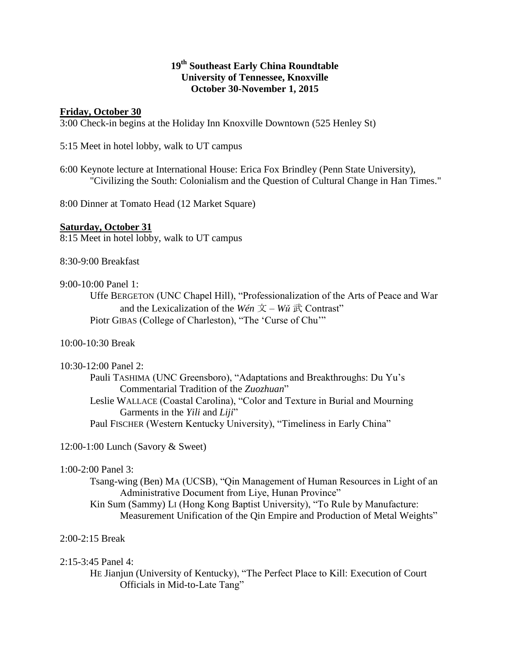# **19th Southeast Early China Roundtable University of Tennessee, Knoxville October 30-November 1, 2015**

## **Friday, October 30**

3:00 Check-in begins at the Holiday Inn Knoxville Downtown (525 Henley St)

5:15 Meet in hotel lobby, walk to UT campus

6:00 Keynote lecture at International House: Erica Fox Brindley (Penn State University), "Civilizing the South: Colonialism and the Question of Cultural Change in Han Times."

8:00 Dinner at Tomato Head (12 Market Square)

## **Saturday, October 31**

8:15 Meet in hotel lobby, walk to UT campus

8:30-9:00 Breakfast

### 9:00-10:00 Panel 1:

Uffe BERGETON (UNC Chapel Hill), "Professionalization of the Arts of Peace and War and the Lexicalization of the *Wén*  $\overline{X}$  – *Wu*  $\overrightarrow{R}$  Contrast" Piotr GIBAS (College of Charleston), "The 'Curse of Chu'"

## 10:00-10:30 Break

#### 10:30-12:00 Panel 2:

Pauli TASHIMA (UNC Greensboro), "Adaptations and Breakthroughs: Du Yu's Commentarial Tradition of the *Zuozhuan*" Leslie WALLACE (Coastal Carolina), "Color and Texture in Burial and Mourning Garments in the *Yili* and *Liji*" Paul FISCHER (Western Kentucky University), "Timeliness in Early China"

12:00-1:00 Lunch (Savory & Sweet)

# 1:00-2:00 Panel 3:

Tsang-wing (Ben) MA (UCSB), "Qin Management of Human Resources in Light of an Administrative Document from Liye, Hunan Province"

Kin Sum (Sammy) LI (Hong Kong Baptist University), "To Rule by Manufacture: Measurement Unification of the Qin Empire and Production of Metal Weights"

## 2:00-2:15 Break

## 2:15-3:45 Panel 4:

HE Jianjun (University of Kentucky), "The Perfect Place to Kill: Execution of Court Officials in Mid-to-Late Tang"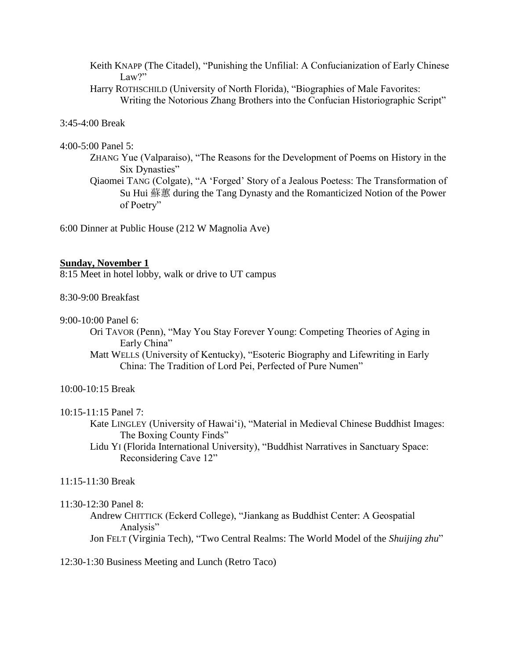Keith KNAPP (The Citadel), "Punishing the Unfilial: A Confucianization of Early Chinese Law?"

Harry ROTHSCHILD (University of North Florida), "Biographies of Male Favorites: Writing the Notorious Zhang Brothers into the Confucian Historiographic Script"

## 3:45-4:00 Break

#### 4:00-5:00 Panel 5:

- ZHANG Yue (Valparaiso), "The Reasons for the Development of Poems on History in the Six Dynasties"
- Qiaomei TANG (Colgate), "A 'Forged' Story of a Jealous Poetess: The Transformation of Su Hui 蘇蕙 during the Tang Dynasty and the Romanticized Notion of the Power of Poetry"

6:00 Dinner at Public House (212 W Magnolia Ave)

### **Sunday, November 1**

8:15 Meet in hotel lobby, walk or drive to UT campus

### 8:30-9:00 Breakfast

#### 9:00-10:00 Panel 6:

Ori TAVOR (Penn), "May You Stay Forever Young: Competing Theories of Aging in Early China"

Matt WELLS (University of Kentucky), "Esoteric Biography and Lifewriting in Early China: The Tradition of Lord Pei, Perfected of Pure Numen"

## 10:00-10:15 Break

10:15-11:15 Panel 7:

- Kate LINGLEY (University of Hawai'i), "Material in Medieval Chinese Buddhist Images: The Boxing County Finds"
- Lidu YI (Florida International University), "Buddhist Narratives in Sanctuary Space: Reconsidering Cave 12"

# 11:15-11:30 Break

#### 11:30-12:30 Panel 8:

Andrew CHITTICK (Eckerd College), "Jiankang as Buddhist Center: A Geospatial Analysis" Jon FELT (Virginia Tech), "Two Central Realms: The World Model of the *Shuijing zhu*"

## 12:30-1:30 Business Meeting and Lunch (Retro Taco)